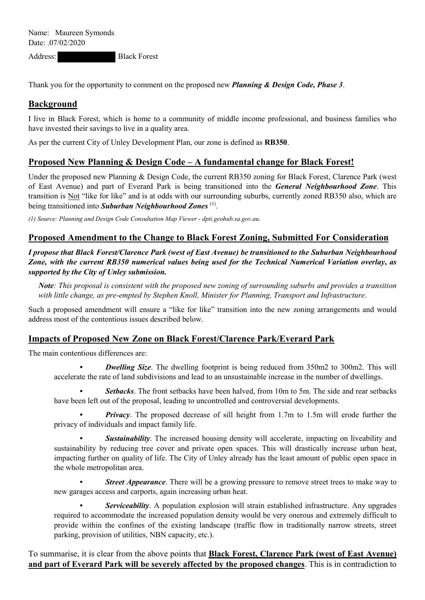Address: Black Forest

Thank you for the opportunity to comment on the proposed new *Planning & Design Code, Phase 3*.

## **Background**

I live in Black Forest, which is home to a community of middle income professional, and business families who have invested their savings to live in a quality area.

As per the current City of Unley Development Plan, our zone is defined as **RB350**.

## **Proposed New Planning & Design Code – A fundamental change for Black Forest!**

Under the proposed new Planning & Design Code, the current RB350 zoning for Black Forest, Clarence Park (west of East Avenue) and part of Everard Park is being transitioned into the *General Neighbourhood Zone*. This transition is Not "like for like" and is at odds with our surrounding suburbs, currently zoned RB350 also, which are being transitioned into *Suburban Neighbourhood Zones* (1).

*(1) Source: Planning and Design Code Consultation Map Viewer* - *dpti.geohub.sa.gov.au*.

## **Proposed Amendment to the Change to Black Forest Zoning, Submitted For Consideration**

*I propose that Black Forest/Clarence Park (west of East Avenue) be transitioned to the Suburban Neighbourhood Zone, with the current RB350 numerical values being used for the Technical Numerical Variation overlay***,** *as supported by the City of Unley submission.*

*Note: This proposal is consistent with the proposed new zoning of surrounding suburbs and provides a transition with little change, as pre-empted by Stephen Knoll, Minister for Planning, Transport and Infrastructure.*

Such a proposed amendment will ensure a "like for like" transition into the new zoning arrangements and would address most of the contentious issues described below.

## **Impacts of Proposed New Zone on Black Forest/Clarence Park/Everard Park**

The main contentious differences are:

*Dwelling Size*. The dwelling footprint is being reduced from 350m2 to 300m2. This will accelerate the rate of land subdivisions and lead to an unsustainable increase in the number of dwellings.

*Setbacks*. The front setbacks have been halved, from 10m to 5m. The side and rear setbacks have been left out of the proposal, leading to uncontrolled and controversial developments.

*Privacy*. The proposed decrease of sill height from 1.7m to 1.5m will erode further the privacy of individuals and impact family life.

**Sustainability**. The increased housing density will accelerate, impacting on liveability and sustainability by reducing tree cover and private open spaces. This will drastically increase urban heat, impacting further on quality of life. The City of Unley already has the least amount of public open space in the whole metropolitan area.

*Street Appearance*. There will be a growing pressure to remove street trees to make way to new garages access and carports, again increasing urban heat.

 *• Serviceability*. A population explosion will strain established infrastructure. Any upgrades required to accommodate the increased population density would be very onerous and extremely difficult to provide within the confines of the existing landscape (traffic flow in traditionally narrow streets, street parking, provision of utilities, NBN capacity, etc.).

To summarise, it is clear from the above points that **Black Forest, Clarence Park (west of East Avenue) and part of Everard Park will be severely affected by the proposed changes**. This is in contradiction to